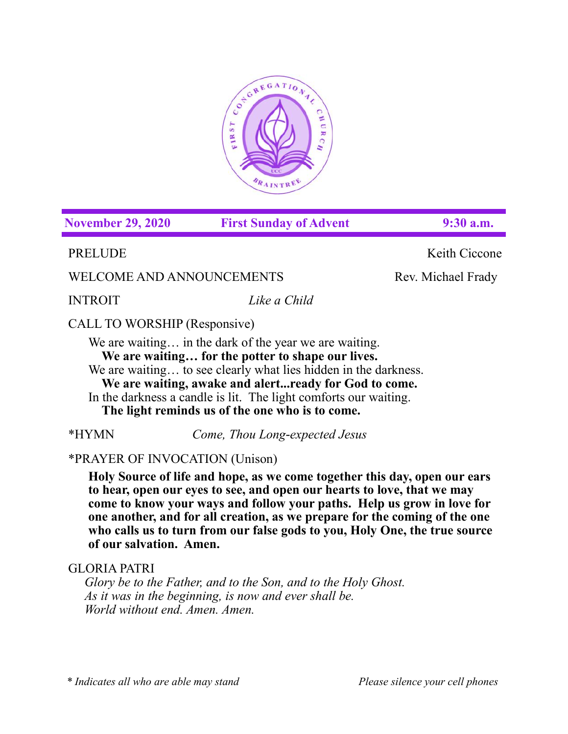

**November 29, 2020 First Sunday of Advent 9:30 a.m.**

PRELUDE Keith Ciccone

WELCOME AND ANNOUNCEMENTS Rev. Michael Frady

INTROIT *Like a Child* 

# CALL TO WORSHIP (Responsive)

We are waiting... in the dark of the year we are waiting. **We are waiting… for the potter to shape our lives.** We are waiting... to see clearly what lies hidden in the darkness. **We are waiting, awake and alert...ready for God to come.**

In the darkness a candle is lit. The light comforts our waiting. **The light reminds us of the one who is to come.**

\*HYMN *Come, Thou Long-expected Jesus* 

# \*PRAYER OF INVOCATION (Unison)

**Holy Source of life and hope, as we come together this day, open our ears to hear, open our eyes to see, and open our hearts to love, that we may come to know your ways and follow your paths. Help us grow in love for one another, and for all creation, as we prepare for the coming of the one who calls us to turn from our false gods to you, Holy One, the true source of our salvation. Amen.**

# GLORIA PATRI

*Glory be to the Father, and to the Son, and to the Holy Ghost. As it was in the beginning, is now and ever shall be. World without end. Amen. Amen.*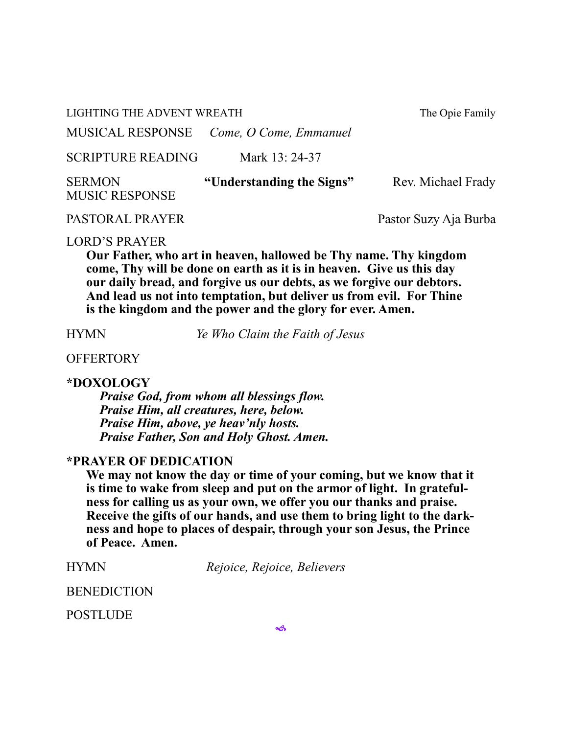LIGHTING THE ADVENT WREATH The Opie Family

MUSICAL RESPONSE *Come, O Come, Emmanuel* 

SCRIPTURE READING Mark 13: 24-37

| <b>SERMON</b>         | "Understanding the Signs" | Rev. Michael Frady |
|-----------------------|---------------------------|--------------------|
| <b>MUSIC RESPONSE</b> |                           |                    |

PASTORAL PRAYER Pastor Suzy Aja Burba

#### LORD'S PRAYER

**Our Father, who art in heaven, hallowed be Thy name. Thy kingdom come, Thy will be done on earth as it is in heaven. Give us this day our daily bread, and forgive us our debts, as we forgive our debtors. And lead us not into temptation, but deliver us from evil. For Thine is the kingdom and the power and the glory for ever. Amen.**

HYMN *Ye Who Claim the Faith of Jesus*

# **OFFERTORY**

## **\*DOXOLOGY**

*Praise God, from whom all blessings flow. Praise Him, all creatures, here, below. Praise Him, above, ye heav'nly hosts. Praise Father, Son and Holy Ghost. Amen.*

## **\*PRAYER OF DEDICATION**

**We may not know the day or time of your coming, but we know that it is time to wake from sleep and put on the armor of light. In gratefulness for calling us as your own, we offer you our thanks and praise. Receive the gifts of our hands, and use them to bring light to the darkness and hope to places of despair, through your son Jesus, the Prince of Peace. Amen.**

| <b>HYMN</b><br>Rejoice, Rejoice, Believers |
|--------------------------------------------|
|--------------------------------------------|

BENEDICTION

POSTLUDE

 $\rightsquigarrow$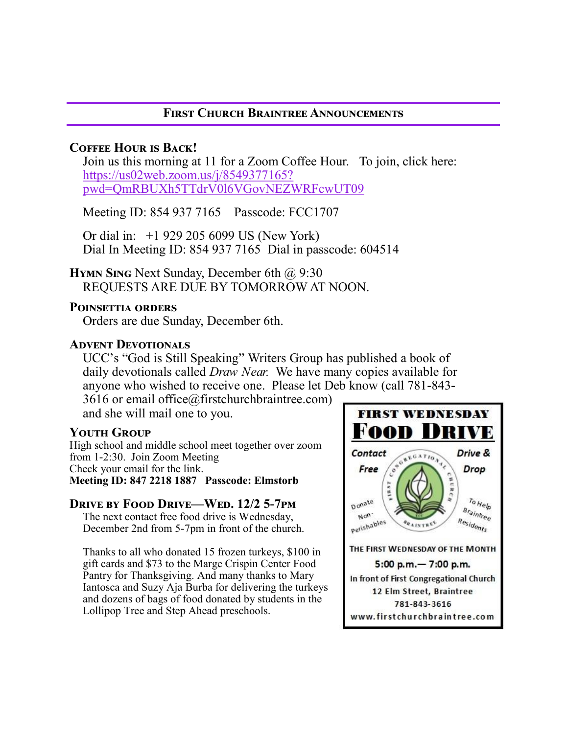# **First Church Braintree Announcements**

# **Coffee Hour is Back!**

Join us this morning at 11 for a Zoom Coffee Hour. To join, click here: [https://us02web.zoom.us/j/8549377165?](https://us02web.zoom.us/j/8549377165?pwd=QmRBUXh5TTdrV0l6VGovNEZWRFcwUT09) [pwd=QmRBUXh5TTdrV0l6VGovNEZWRFcwUT09](https://us02web.zoom.us/j/8549377165?pwd=QmRBUXh5TTdrV0l6VGovNEZWRFcwUT09)

Meeting ID: 854 937 7165 Passcode: FCC1707

Or dial in: +1 929 205 6099 US (New York) Dial In Meeting ID: 854 937 7165 Dial in passcode: 604514

**HYMN SING** Next Sunday, December 6th @ 9:30 REQUESTS ARE DUE BY TOMORROW AT NOON.

## **Poinsettia orders**

Orders are due Sunday, December 6th.

## **Advent Devotionals**

UCC's "God is Still Speaking" Writers Group has published a book of daily devotionals called *Draw Near.* We have many copies available for anyone who wished to receive one. Please let Deb know (call 781-843-

3616 or email office@firstchurchbraintree.com) and she will mail one to you.

## **Youth Group**

High school and middle school meet together over zoom from 1-2:30. Join Zoom Meeting Check your email for the link. **Meeting ID: 847 2218 1887 Passcode: Elmstorb**

## **Drive by Food Drive—Wed. 12/2 5-7pm**

The next contact free food drive is Wednesday, December 2nd from 5-7pm in front of the church.

Thanks to all who donated 15 frozen turkeys, \$100 in gift cards and \$73 to the Marge Crispin Center Food Pantry for Thanksgiving. And many thanks to Mary Iantosca and Suzy Aja Burba for delivering the turkeys and dozens of bags of food donated by students in the Lollipop Tree and Step Ahead preschools.